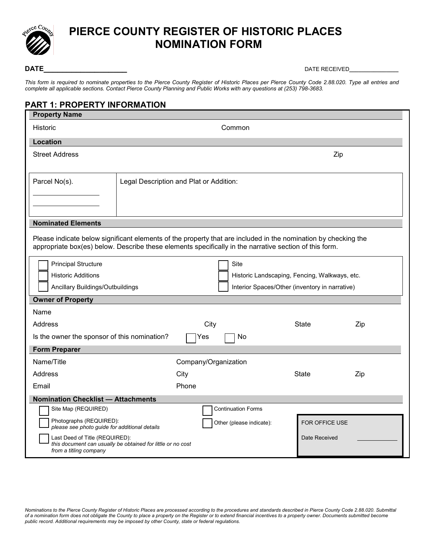

# **PIERCE COUNTY REGISTER OF HISTORIC PLACES NOMINATION FORM**

**DATE\_\_\_\_\_\_\_\_\_\_\_\_\_\_\_\_\_\_** DATE RECEIVED**\_\_\_\_\_\_\_\_\_\_\_\_\_\_\_\_**

*This form is required to nominate properties to the Pierce County Register of Historic Places per Pierce County Code 2.88.020. Type all entries and complete all applicable sections. Contact Pierce County Planning and Public Works with any questions at (253) 798-3683.*

# **PART 1: PROPERTY INFORMATION**

| <b>Property Name</b>                                                                                                                                                                                                     |                                         |                                               |                                                |                |     |  |  |  |
|--------------------------------------------------------------------------------------------------------------------------------------------------------------------------------------------------------------------------|-----------------------------------------|-----------------------------------------------|------------------------------------------------|----------------|-----|--|--|--|
| Historic                                                                                                                                                                                                                 | Common                                  |                                               |                                                |                |     |  |  |  |
| <b>Location</b>                                                                                                                                                                                                          |                                         |                                               |                                                |                |     |  |  |  |
| <b>Street Address</b>                                                                                                                                                                                                    |                                         |                                               |                                                | Zip            |     |  |  |  |
| Parcel No(s).                                                                                                                                                                                                            | Legal Description and Plat or Addition: |                                               |                                                |                |     |  |  |  |
| <b>Nominated Elements</b>                                                                                                                                                                                                |                                         |                                               |                                                |                |     |  |  |  |
| Please indicate below significant elements of the property that are included in the nomination by checking the<br>appropriate box(es) below. Describe these elements specifically in the narrative section of this form. |                                         |                                               |                                                |                |     |  |  |  |
| <b>Principal Structure</b>                                                                                                                                                                                               |                                         |                                               | <b>Site</b>                                    |                |     |  |  |  |
| <b>Historic Additions</b>                                                                                                                                                                                                |                                         | Historic Landscaping, Fencing, Walkways, etc. |                                                |                |     |  |  |  |
| Ancillary Buildings/Outbuildings                                                                                                                                                                                         |                                         |                                               | Interior Spaces/Other (inventory in narrative) |                |     |  |  |  |
| <b>Owner of Property</b>                                                                                                                                                                                                 |                                         |                                               |                                                |                |     |  |  |  |
| Name                                                                                                                                                                                                                     |                                         |                                               |                                                |                |     |  |  |  |
| Address                                                                                                                                                                                                                  |                                         | City                                          |                                                | State          | Zip |  |  |  |
| Is the owner the sponsor of this nomination?                                                                                                                                                                             |                                         | No<br>Yes                                     |                                                |                |     |  |  |  |
| <b>Form Preparer</b>                                                                                                                                                                                                     |                                         |                                               |                                                |                |     |  |  |  |
| Name/Title                                                                                                                                                                                                               |                                         | Company/Organization                          |                                                |                |     |  |  |  |
| Address                                                                                                                                                                                                                  |                                         | City                                          |                                                | State          | Zip |  |  |  |
| Email                                                                                                                                                                                                                    |                                         | Phone                                         |                                                |                |     |  |  |  |
| <b>Nomination Checklist - Attachments</b>                                                                                                                                                                                |                                         |                                               |                                                |                |     |  |  |  |
| Site Map (REQUIRED)                                                                                                                                                                                                      |                                         |                                               | <b>Continuation Forms</b>                      |                |     |  |  |  |
| Photographs (REQUIRED):<br>please see photo guide for additional details                                                                                                                                                 |                                         |                                               | Other (please indicate):                       | FOR OFFICE USE |     |  |  |  |
| Last Deed of Title (REQUIRED):<br>this document can usually be obtained for little or no cost<br>from a titling company                                                                                                  |                                         |                                               | Date Received                                  |                |     |  |  |  |

*Nominations to the Pierce County Register of Historic Places are processed according to the procedures and standards described in Pierce County Code 2.88.020. Submittal of a nomination form does not obligate the County to place a property on the Register or to extend financial incentives to a property owner. Documents submitted become public record. Additional requirements may be imposed by other County, state or federal regulations.*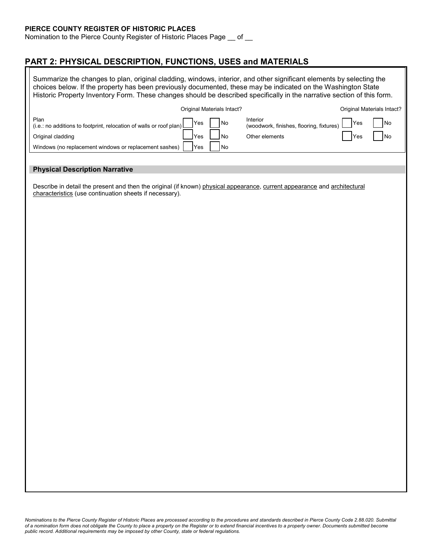#### **PIERCE COUNTY REGISTER OF HISTORIC PLACES**

Nomination to the Pierce County Register of Historic Places Page \_\_ of \_\_

### **PART 2: PHYSICAL DESCRIPTION, FUNCTIONS, USES and MATERIALS**

Summarize the changes to plan, original cladding, windows, interior, and other significant elements by selecting the choices below. If the property has been previously documented, these may be indicated on the Washington State Historic Property Inventory Form. These changes should be described specifically in the narrative section of this form.

|                                                                                    | Original Materials Intact? |      |                                                                           | Original Materials Intact? |            |
|------------------------------------------------------------------------------------|----------------------------|------|---------------------------------------------------------------------------|----------------------------|------------|
| Plan<br>(i.e.: no additions to footprint, relocation of walls or roof plan) $\Box$ | Yes                        | No   | Interior<br>$\frac{1}{2}$ (woodwork, finishes, flooring, fixtures) $\Box$ | Yes                        | No         |
| Original cladding                                                                  | lYes                       | l No | Other elements                                                            | <b>IYes</b>                | <b>INo</b> |
| Windows (no replacement windows or replacement sashes)                             | 'Yes                       | l No |                                                                           |                            |            |
|                                                                                    |                            |      |                                                                           |                            |            |

#### **Physical Description Narrative**

Describe in detail the present and then the original (if known) physical appearance, current appearance and architectural characteristics (use continuation sheets if necessary).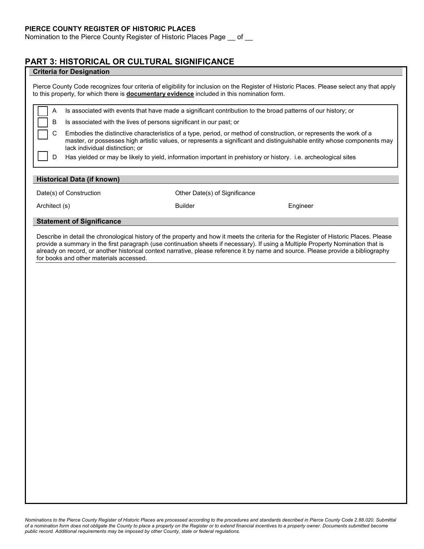Nomination to the Pierce County Register of Historic Places Page \_\_ of \_\_

## **PART 3: HISTORICAL OR CULTURAL SIGNIFICANCE**

| Pierce County Code recognizes four criteria of eligibility for inclusion on the Register of Historic Places. Please select any that apply<br>to this property, for which there is <b>documentary evidence</b> included in this nomination form.<br>Is associated with events that have made a significant contribution to the broad patterns of our history; or<br>Α<br>В<br>Is associated with the lives of persons significant in our past; or<br>C<br>Embodies the distinctive characteristics of a type, period, or method of construction, or represents the work of a<br>master, or possesses high artistic values, or represents a significant and distinguishable entity whose components may<br>lack individual distinction; or |
|------------------------------------------------------------------------------------------------------------------------------------------------------------------------------------------------------------------------------------------------------------------------------------------------------------------------------------------------------------------------------------------------------------------------------------------------------------------------------------------------------------------------------------------------------------------------------------------------------------------------------------------------------------------------------------------------------------------------------------------|
|                                                                                                                                                                                                                                                                                                                                                                                                                                                                                                                                                                                                                                                                                                                                          |
|                                                                                                                                                                                                                                                                                                                                                                                                                                                                                                                                                                                                                                                                                                                                          |
|                                                                                                                                                                                                                                                                                                                                                                                                                                                                                                                                                                                                                                                                                                                                          |
|                                                                                                                                                                                                                                                                                                                                                                                                                                                                                                                                                                                                                                                                                                                                          |
| D<br>Has yielded or may be likely to yield, information important in prehistory or history. i.e. archeological sites                                                                                                                                                                                                                                                                                                                                                                                                                                                                                                                                                                                                                     |
| Historical Data (if known)                                                                                                                                                                                                                                                                                                                                                                                                                                                                                                                                                                                                                                                                                                               |
| Other Date(s) of Significance<br>Date(s) of Construction                                                                                                                                                                                                                                                                                                                                                                                                                                                                                                                                                                                                                                                                                 |
| <b>Builder</b><br>Architect (s)<br>Engineer                                                                                                                                                                                                                                                                                                                                                                                                                                                                                                                                                                                                                                                                                              |
| <b>Statement of Significance</b>                                                                                                                                                                                                                                                                                                                                                                                                                                                                                                                                                                                                                                                                                                         |
|                                                                                                                                                                                                                                                                                                                                                                                                                                                                                                                                                                                                                                                                                                                                          |
|                                                                                                                                                                                                                                                                                                                                                                                                                                                                                                                                                                                                                                                                                                                                          |
|                                                                                                                                                                                                                                                                                                                                                                                                                                                                                                                                                                                                                                                                                                                                          |